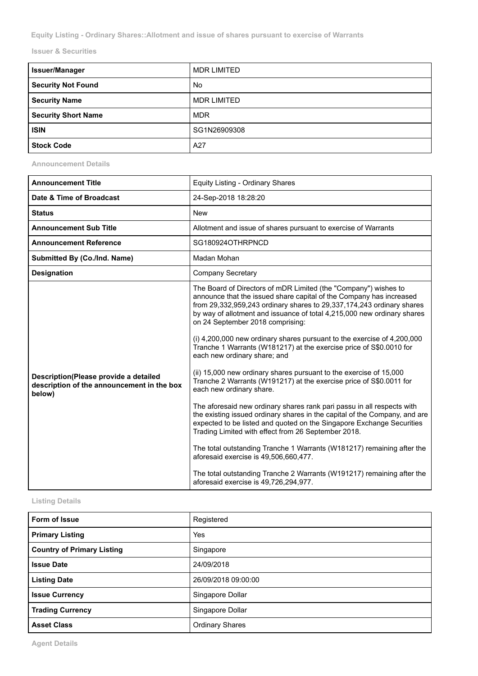**Equity Listing - Ordinary Shares::Allotment and issue of shares pursuant to exercise of Warrants**

**Issuer & Securities**

| <b>Issuer/Manager</b>      | <b>MDR LIMITED</b> |
|----------------------------|--------------------|
| Security Not Found         | No                 |
| <b>Security Name</b>       | <b>MDR LIMITED</b> |
| <b>Security Short Name</b> | <b>MDR</b>         |
| <b>ISIN</b>                | SG1N26909308       |
| <b>Stock Code</b>          | A27                |

**Announcement Details**

| <b>Announcement Title</b>                                                                     | Equity Listing - Ordinary Shares                                                                                                                                                                                                                                                                                                                                                                                                                                                                                                                                                                                                                                                                                                                                                                                                                                                                                                                                                                                                                                                                                                                                                                                        |
|-----------------------------------------------------------------------------------------------|-------------------------------------------------------------------------------------------------------------------------------------------------------------------------------------------------------------------------------------------------------------------------------------------------------------------------------------------------------------------------------------------------------------------------------------------------------------------------------------------------------------------------------------------------------------------------------------------------------------------------------------------------------------------------------------------------------------------------------------------------------------------------------------------------------------------------------------------------------------------------------------------------------------------------------------------------------------------------------------------------------------------------------------------------------------------------------------------------------------------------------------------------------------------------------------------------------------------------|
| Date & Time of Broadcast                                                                      | 24-Sep-2018 18:28:20                                                                                                                                                                                                                                                                                                                                                                                                                                                                                                                                                                                                                                                                                                                                                                                                                                                                                                                                                                                                                                                                                                                                                                                                    |
| <b>Status</b>                                                                                 | <b>New</b>                                                                                                                                                                                                                                                                                                                                                                                                                                                                                                                                                                                                                                                                                                                                                                                                                                                                                                                                                                                                                                                                                                                                                                                                              |
| <b>Announcement Sub Title</b>                                                                 | Allotment and issue of shares pursuant to exercise of Warrants                                                                                                                                                                                                                                                                                                                                                                                                                                                                                                                                                                                                                                                                                                                                                                                                                                                                                                                                                                                                                                                                                                                                                          |
| <b>Announcement Reference</b>                                                                 | SG180924OTHRPNCD                                                                                                                                                                                                                                                                                                                                                                                                                                                                                                                                                                                                                                                                                                                                                                                                                                                                                                                                                                                                                                                                                                                                                                                                        |
| Submitted By (Co./Ind. Name)                                                                  | Madan Mohan                                                                                                                                                                                                                                                                                                                                                                                                                                                                                                                                                                                                                                                                                                                                                                                                                                                                                                                                                                                                                                                                                                                                                                                                             |
| <b>Designation</b>                                                                            | <b>Company Secretary</b>                                                                                                                                                                                                                                                                                                                                                                                                                                                                                                                                                                                                                                                                                                                                                                                                                                                                                                                                                                                                                                                                                                                                                                                                |
| Description(Please provide a detailed<br>description of the announcement in the box<br>below) | The Board of Directors of mDR Limited (the "Company") wishes to<br>announce that the issued share capital of the Company has increased<br>from 29,332,959,243 ordinary shares to 29,337,174,243 ordinary shares<br>by way of allotment and issuance of total 4,215,000 new ordinary shares<br>on 24 September 2018 comprising:<br>(i) 4,200,000 new ordinary shares pursuant to the exercise of 4,200,000<br>Tranche 1 Warrants (W181217) at the exercise price of S\$0.0010 for<br>each new ordinary share; and<br>(ii) 15,000 new ordinary shares pursuant to the exercise of 15,000<br>Tranche 2 Warrants (W191217) at the exercise price of S\$0.0011 for<br>each new ordinary share.<br>The aforesaid new ordinary shares rank pari passu in all respects with<br>the existing issued ordinary shares in the capital of the Company, and are<br>expected to be listed and quoted on the Singapore Exchange Securities<br>Trading Limited with effect from 26 September 2018.<br>The total outstanding Tranche 1 Warrants (W181217) remaining after the<br>aforesaid exercise is 49,506,660,477.<br>The total outstanding Tranche 2 Warrants (W191217) remaining after the<br>aforesaid exercise is 49,726,294,977. |

## **Listing Details**

| Form of Issue                     | Registered             |
|-----------------------------------|------------------------|
| <b>Primary Listing</b>            | Yes                    |
| <b>Country of Primary Listing</b> | Singapore              |
| <b>Issue Date</b>                 | 24/09/2018             |
| <b>Listing Date</b>               | 26/09/2018 09:00:00    |
| <b>Issue Currency</b>             | Singapore Dollar       |
| <b>Trading Currency</b>           | Singapore Dollar       |
| <b>Asset Class</b>                | <b>Ordinary Shares</b> |